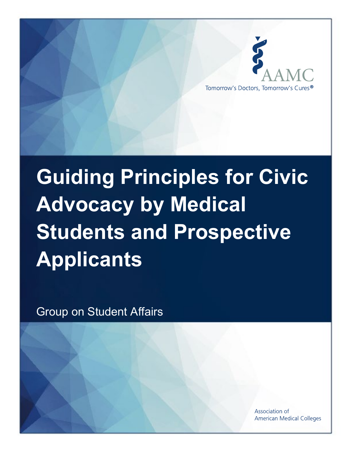

# **Guiding Principles for Civic Advocacy by Medical Students and Prospective Applicants**

Group on Student Affairs

Association of **American Medical Colleges**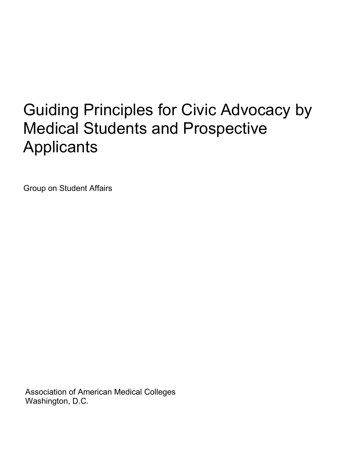# Guiding Principles for Civic Advocacy by Medical Students and Prospective **Applicants**

Group on Student Affairs

Association of American Medical Colleges Washington, D.C.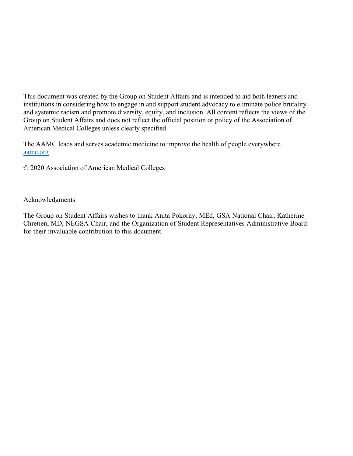This document was created by the Group on Student Affairs and is intended to aid both leaners and institutions in considering how to engage in and support student advocacy to eliminate police brutality and systemic racism and promote diversity, equity, and inclusion. All content reflects the views of the Group on Student Affairs and does not reflect the official position or policy of the Association of American Medical Colleges unless clearly specified.

The AAMC leads and serves academic medicine to improve the health of people everywhere. aamc.org

© 2020 Association of American Medical Colleges

#### Acknowledgments

The Group on Student Affairs wishes to thank Anita Pokorny, MEd, GSA National Chair, Katherine Chretien, MD, NEGSA Chair, and the Organization of Student Representatives Administrative Board for their invaluable contribution to this document.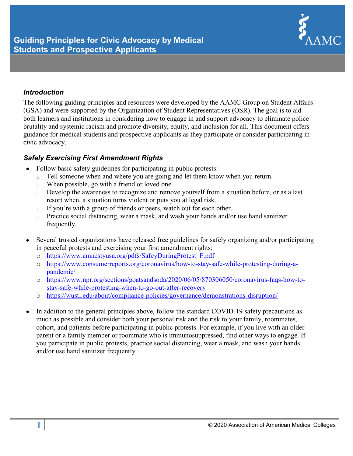

### *Introduction*

The following guiding principles and resources were developed by the AAMC Group on Student Affairs (GSA) and were supported by the Organization of Student Representatives (OSR). The goal is to aid both learners and institutions in considering how to engage in and support advocacy to eliminate police brutality and systemic racism and promote diversity, equity, and inclusion for all. This document offers guidance for medical students and prospective applicants as they participate or consider participating in civic advocacy.

# *Safely Exercising First Amendment Rights*

- Follow basic safety guidelines for participating in public protests:
	- o Tell someone when and where you are going and let them know when you return.
	- o When possible, go with a friend or loved one.
	- o Develop the awareness to recognize and remove yourself from a situation before, or as a last resort when, a situation turns violent or puts you at legal risk.
	- o If you're with a group of friends or peers, watch out for each other.
	- o Practice social distancing, wear a mask, and wash your hands and/or use hand sanitizer frequently.
- Several trusted organizations have released free guidelines for safely organizing and/or participating in peaceful protests and exercising your first amendment rights:
	- o [https://www.amnestyusa.org/pdfs/SafeyDuringProtest\\_F.pdf](https://www.amnestyusa.org/pdfs/SafeyDuringProtest_F.pdf)
	- o [https://www.consumerreports.org/coronavirus/how-to-stay-safe-while-protesting-during-a](https://www.consumerreports.org/coronavirus/how-to-stay-safe-while-protesting-during-a-pandemic/)[pandemic/](https://www.consumerreports.org/coronavirus/how-to-stay-safe-while-protesting-during-a-pandemic/)
	- o [https://www.npr.org/sections/goatsandsoda/2020/06/05/870306050/coronavirus-faqs-how-to](https://www.npr.org/sections/goatsandsoda/2020/06/05/870306050/coronavirus-faqs-how-to-stay-safe-while-protesting-when-to-go-out-after-recovery)[stay-safe-while-protesting-when-to-go-out-after-recovery](https://www.npr.org/sections/goatsandsoda/2020/06/05/870306050/coronavirus-faqs-how-to-stay-safe-while-protesting-when-to-go-out-after-recovery)
	- o <https://wustl.edu/about/compliance-policies/governance/demonstrations-disruption/>
- In addition to the general principles above, follow the standard COVID-19 safety precautions as much as possible and consider both your personal risk and the risk to your family, roommates, cohort, and patients before participating in public protests. For example, if you live with an older parent or a family member or roommate who is immunosuppressed, find other ways to engage. If you participate in public protests, practice social distancing, wear a mask, and wash your hands and/or use hand sanitizer frequently.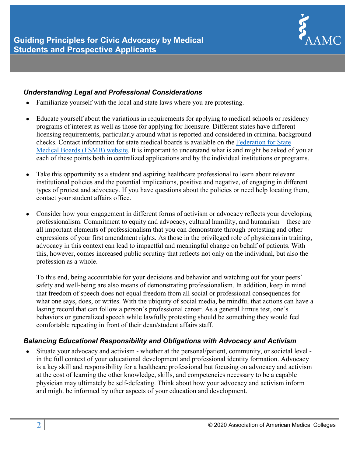

## *Understanding Legal and Professional Considerations*

- Familiarize yourself with the local and state laws where you are protesting.
- Educate yourself about the variations in requirements for applying to medical schools or residency programs of interest as well as those for applying for licensure. Different states have different licensing requirements, particularly around what is reported and considered in criminal background checks. Contact information for state medical boards is available on the [Federation for State](https://www.fsmb.org/)  [Medical Boards \(FSMB\) website.](https://www.fsmb.org/) It is important to understand what is and might be asked of you at each of these points both in centralized applications and by the individual institutions or programs.
- Take this opportunity as a student and aspiring healthcare professional to learn about relevant institutional policies and the potential implications, positive and negative, of engaging in different types of protest and advocacy. If you have questions about the policies or need help locating them, contact your student affairs office.
- Consider how your engagement in different forms of activism or advocacy reflects your developing professionalism. Commitment to equity and advocacy, cultural humility, and humanism – these are all important elements of professionalism that you can demonstrate through protesting and other expressions of your first amendment rights. As those in the privileged role of physicians in training, advocacy in this context can lead to impactful and meaningful change on behalf of patients. With this, however, comes increased public scrutiny that reflects not only on the individual, but also the profession as a whole.

To this end, being accountable for your decisions and behavior and watching out for your peers' safety and well-being are also means of demonstrating professionalism. In addition, keep in mind that freedom of speech does not equal freedom from all social or professional consequences for what one says, does, or writes. With the ubiquity of social media, be mindful that actions can have a lasting record that can follow a person's professional career. As a general litmus test, one's behaviors or generalized speech while lawfully protesting should be something they would feel comfortable repeating in front of their dean/student affairs staff.

# *Balancing Educational Responsibility and Obligations with Advocacy and Activism*

• Situate your advocacy and activism - whether at the personal/patient, community, or societal level in the full context of your educational development and professional identity formation. Advocacy is a key skill and responsibility for a healthcare professional but focusing on advocacy and activism at the cost of learning the other knowledge, skills, and competencies necessary to be a capable physician may ultimately be self-defeating. Think about how your advocacy and activism inform and might be informed by other aspects of your education and development.